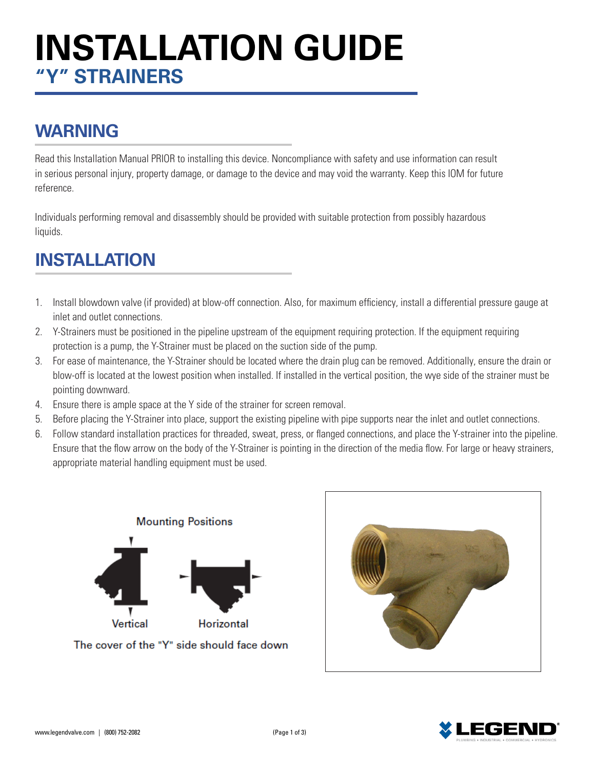# **INSTALLATION GUIDE "Y" STRAINERS**

## **WARNING**

Read this Installation Manual PRIOR to installing this device. Noncompliance with safety and use information can result in serious personal injury, property damage, or damage to the device and may void the warranty. Keep this IOM for future reference.

Individuals performing removal and disassembly should be provided with suitable protection from possibly hazardous liquids.

# **INSTALLATION**

- 1. Install blowdown valve (if provided) at blow-off connection. Also, for maximum efficiency, install a differential pressure gauge at inlet and outlet connections.
- 2. Y-Strainers must be positioned in the pipeline upstream of the equipment requiring protection. If the equipment requiring protection is a pump, the Y-Strainer must be placed on the suction side of the pump.
- 3. For ease of maintenance, the Y-Strainer should be located where the drain plug can be removed. Additionally, ensure the drain or blow-off is located at the lowest position when installed. If installed in the vertical position, the wye side of the strainer must be pointing downward.
- 4. Ensure there is ample space at the Y side of the strainer for screen removal.
- 5. Before placing the Y-Strainer into place, support the existing pipeline with pipe supports near the inlet and outlet connections.
- 6. Follow standard installation practices for threaded, sweat, press, or flanged connections, and place the Y-strainer into the pipeline. Ensure that the flow arrow on the body of the Y-Strainer is pointing in the direction of the media flow. For large or heavy strainers, appropriate material handling equipment must be used.



The cover of the "Y" side should face down



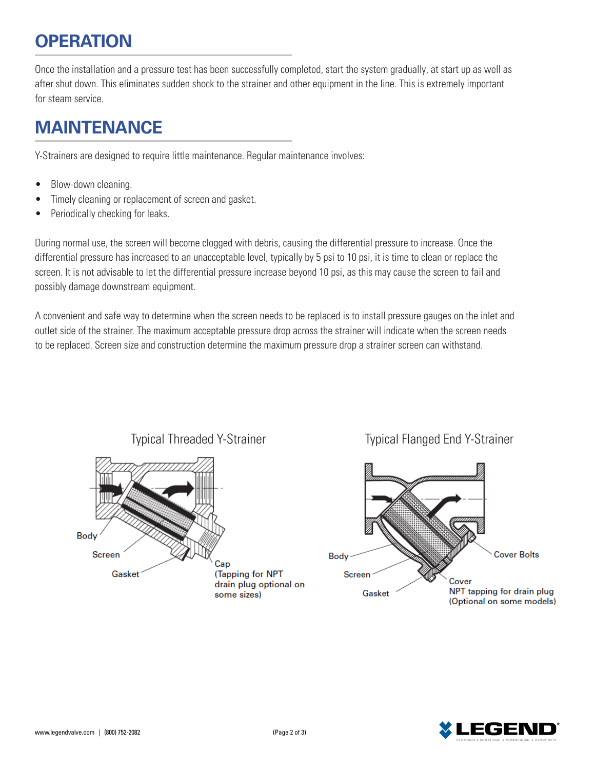#### **OPERATION**

Once the installation and a pressure test has been successfully completed, start the system gradually, at start up as well as after shut down. This eliminates sudden shock to the strainer and other equipment in the line. This is extremely important for steam service.

#### **MAINTENANCE**

Y-Strainers are designed to require little maintenance. Regular maintenance involves:

- Blow-down cleaning.
- Timely cleaning or replacement of screen and gasket.
- Periodically checking for leaks.

During normal use, the screen will become clogged with debris, causing the differential pressure to increase. Once the differential pressure has increased to an unacceptable level, typically by 5 psi to 10 psi, it is time to clean or replace the screen. It is not advisable to let the differential pressure increase beyond 10 psi, as this may cause the screen to fail and possibly damage downstream equipment.

A convenient and safe way to determine when the screen needs to be replaced is to install pressure gauges on the inlet and outlet side of the strainer. The maximum acceptable pressure drop across the strainer will indicate when the screen needs to be replaced. Screen size and construction determine the maximum pressure drop a strainer screen can withstand.



Typical Threaded Y-Strainer Typical Flanged End Y-Strainer